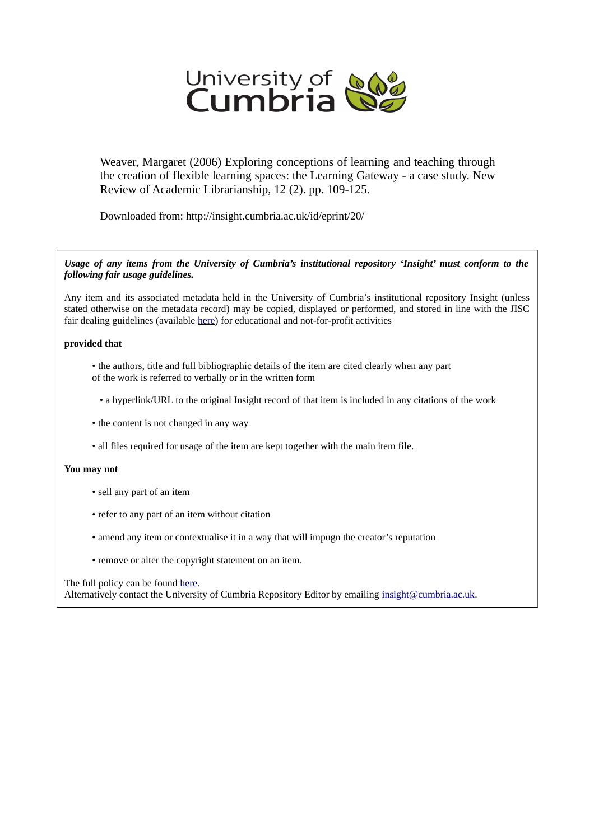

Weaver, Margaret (2006) Exploring conceptions of learning and teaching through the creation of flexible learning spaces: the Learning Gateway - a case study. New Review of Academic Librarianship, 12 (2). pp. 109-125.

Downloaded from: http://insight.cumbria.ac.uk/id/eprint/20/

#### *Usage of any items from the University of Cumbria's institutional repository 'Insight' must conform to the following fair usage guidelines.*

Any item and its associated metadata held in the University of Cumbria's institutional repository Insight (unless stated otherwise on the metadata record) may be copied, displayed or performed, and stored in line with the JISC fair dealing guidelines (available [here\)](http://www.ukoln.ac.uk/services/elib/papers/pa/fair/) for educational and not-for-profit activities

#### **provided that**

- the authors, title and full bibliographic details of the item are cited clearly when any part of the work is referred to verbally or in the written form
	- a hyperlink/URL to the original Insight record of that item is included in any citations of the work
- the content is not changed in any way
- all files required for usage of the item are kept together with the main item file.

#### **You may not**

- sell any part of an item
- refer to any part of an item without citation
- amend any item or contextualise it in a way that will impugn the creator's reputation
- remove or alter the copyright statement on an item.

#### The full policy can be found [here.](http://insight.cumbria.ac.uk/legal.html#section5)

Alternatively contact the University of Cumbria Repository Editor by emailing [insight@cumbria.ac.uk.](mailto:insight@cumbria.ac.uk)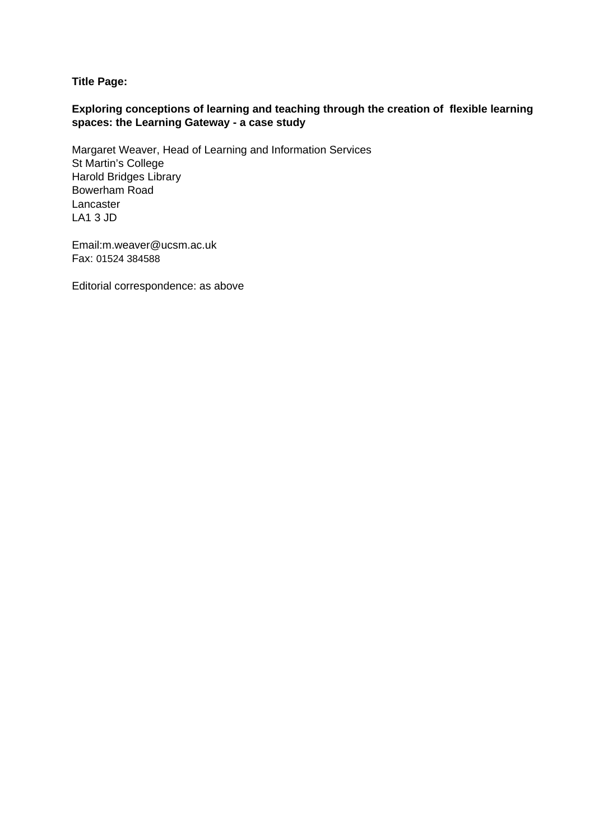**Title Page:**

# **Exploring conceptions of learning and teaching through the creation of flexible learning spaces: the Learning Gateway - a case study**

Margaret Weaver, Head of Learning and Information Services St Martin's College Harold Bridges Library Bowerham Road Lancaster LA1 3 JD

Email:m.weaver@ucsm.ac.uk Fax: 01524 384588

Editorial correspondence: as above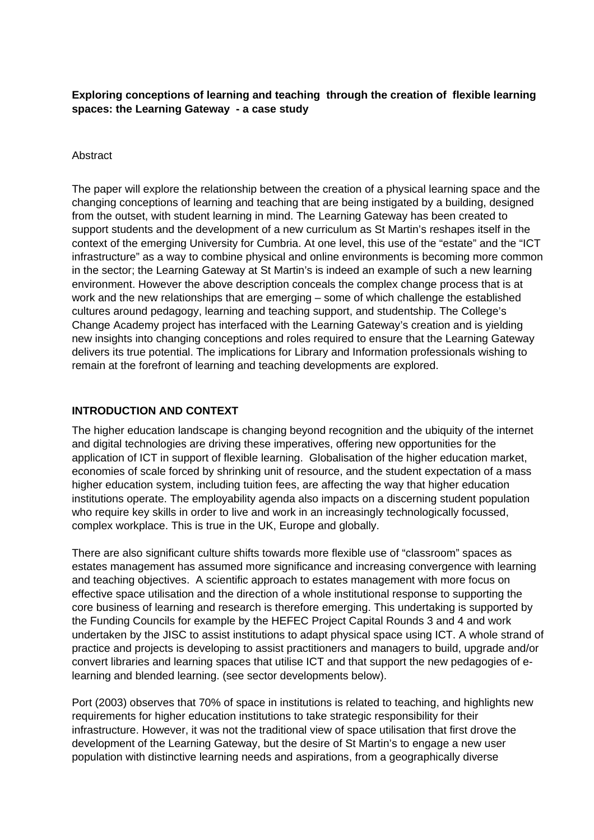## **Exploring conceptions of learning and teaching through the creation of flexible learning spaces: the Learning Gateway - a case study**

#### Abstract

The paper will explore the relationship between the creation of a physical learning space and the changing conceptions of learning and teaching that are being instigated by a building, designed from the outset, with student learning in mind. The Learning Gateway has been created to support students and the development of a new curriculum as St Martin's reshapes itself in the context of the emerging University for Cumbria. At one level, this use of the "estate" and the "ICT infrastructure" as a way to combine physical and online environments is becoming more common in the sector; the Learning Gateway at St Martin's is indeed an example of such a new learning environment. However the above description conceals the complex change process that is at work and the new relationships that are emerging – some of which challenge the established cultures around pedagogy, learning and teaching support, and studentship. The College's Change Academy project has interfaced with the Learning Gateway's creation and is yielding new insights into changing conceptions and roles required to ensure that the Learning Gateway delivers its true potential. The implications for Library and Information professionals wishing to remain at the forefront of learning and teaching developments are explored.

#### **INTRODUCTION AND CONTEXT**

The higher education landscape is changing beyond recognition and the ubiquity of the internet and digital technologies are driving these imperatives, offering new opportunities for the application of ICT in support of flexible learning. Globalisation of the higher education market, economies of scale forced by shrinking unit of resource, and the student expectation of a mass higher education system, including tuition fees, are affecting the way that higher education institutions operate. The employability agenda also impacts on a discerning student population who require key skills in order to live and work in an increasingly technologically focussed, complex workplace. This is true in the UK, Europe and globally.

There are also significant culture shifts towards more flexible use of "classroom" spaces as estates management has assumed more significance and increasing convergence with learning and teaching objectives. A scientific approach to estates management with more focus on effective space utilisation and the direction of a whole institutional response to supporting the core business of learning and research is therefore emerging. This undertaking is supported by the Funding Councils for example by the HEFEC Project Capital Rounds 3 and 4 and work undertaken by the JISC to assist institutions to adapt physical space using ICT. A whole strand of practice and projects is developing to assist practitioners and managers to build, upgrade and/or convert libraries and learning spaces that utilise ICT and that support the new pedagogies of elearning and blended learning. (see sector developments below).

Port (2003) observes that 70% of space in institutions is related to teaching, and highlights new requirements for higher education institutions to take strategic responsibility for their infrastructure. However, it was not the traditional view of space utilisation that first drove the development of the Learning Gateway, but the desire of St Martin's to engage a new user population with distinctive learning needs and aspirations, from a geographically diverse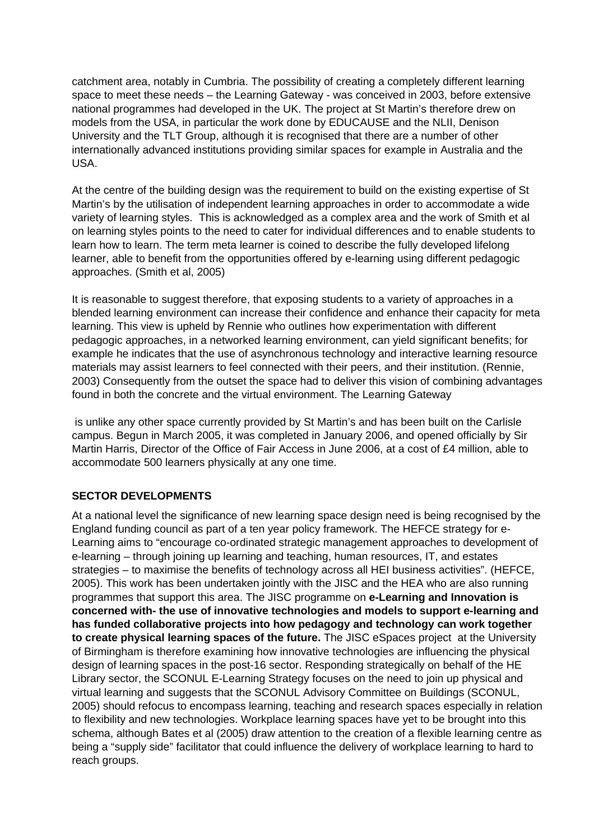catchment area, notably in Cumbria. The possibility of creating a completely different learning space to meet these needs – the Learning Gateway - was conceived in 2003, before extensive national programmes had developed in the UK. The project at St Martin's therefore drew on models from the USA, in particular the work done by EDUCAUSE and the NLII, Denison University and the TLT Group, although it is recognised that there are a number of other internationally advanced institutions providing similar spaces for example in Australia and the USA.

At the centre of the building design was the requirement to build on the existing expertise of St Martin's by the utilisation of independent learning approaches in order to accommodate a wide variety of learning styles. This is acknowledged as a complex area and the work of Smith et al on learning styles points to the need to cater for individual differences and to enable students to learn how to learn. The term meta learner is coined to describe the fully developed lifelong learner, able to benefit from the opportunities offered by e-learning using different pedagogic approaches. (Smith et al, 2005)

It is reasonable to suggest therefore, that exposing students to a variety of approaches in a blended learning environment can increase their confidence and enhance their capacity for meta learning. This view is upheld by Rennie who outlines how experimentation with different pedagogic approaches, in a networked learning environment, can yield significant benefits; for example he indicates that the use of asynchronous technology and interactive learning resource materials may assist learners to feel connected with their peers, and their institution. (Rennie, 2003) Consequently from the outset the space had to deliver this vision of combining advantages found in both the concrete and the virtual environment. The Learning Gateway

 is unlike any other space currently provided by St Martin's and has been built on the Carlisle campus. Begun in March 2005, it was completed in January 2006, and opened officially by Sir Martin Harris, Director of the Office of Fair Access in June 2006, at a cost of £4 million, able to accommodate 500 learners physically at any one time.

# **SECTOR DEVELOPMENTS**

At a national level the significance of new learning space design need is being recognised by the England funding council as part of a ten year policy framework. The HEFCE strategy for e-Learning aims to "encourage co-ordinated strategic management approaches to development of e-learning – through joining up learning and teaching, human resources, IT, and estates strategies – to maximise the benefits of technology across all HEI business activities". (HEFCE, 2005). This work has been undertaken jointly with the JISC and the HEA who are also running programmes that support this area. The JISC programme on **e-Learning and Innovation is concerned with- the use of innovative technologies and models to support e-learning and has funded collaborative projects into how pedagogy and technology can work together to create physical learning spaces of the future.** The JISC eSpaces project at the University of Birmingham is therefore examining how innovative technologies are influencing the physical design of learning spaces in the post-16 sector. Responding strategically on behalf of the HE Library sector, the SCONUL E-Learning Strategy focuses on the need to join up physical and virtual learning and suggests that the SCONUL Advisory Committee on Buildings (SCONUL, 2005) should refocus to encompass learning, teaching and research spaces especially in relation to flexibility and new technologies. Workplace learning spaces have yet to be brought into this schema, although Bates et al (2005) draw attention to the creation of a flexible learning centre as being a "supply side" facilitator that could influence the delivery of workplace learning to hard to reach groups.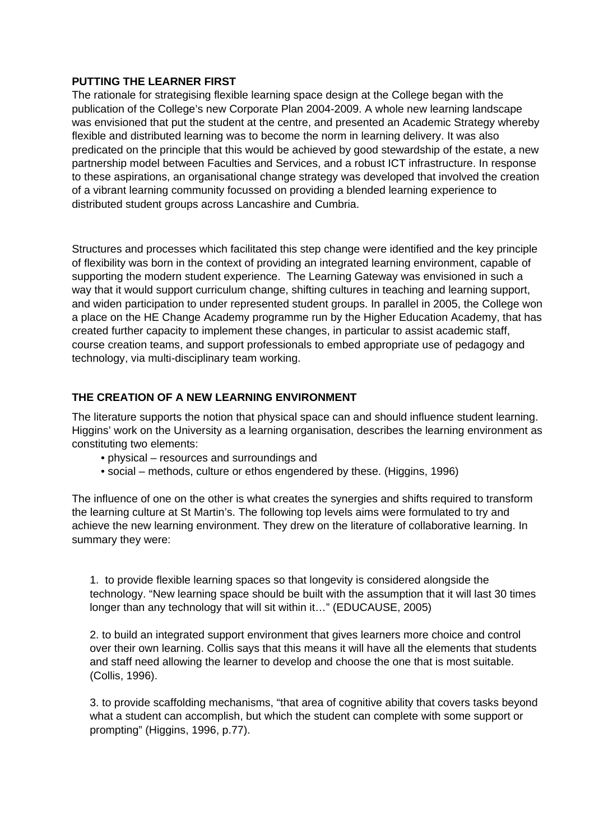## **PUTTING THE LEARNER FIRST**

The rationale for strategising flexible learning space design at the College began with the publication of the College's new Corporate Plan 2004-2009. A whole new learning landscape was envisioned that put the student at the centre, and presented an Academic Strategy whereby flexible and distributed learning was to become the norm in learning delivery. It was also predicated on the principle that this would be achieved by good stewardship of the estate, a new partnership model between Faculties and Services, and a robust ICT infrastructure. In response to these aspirations, an organisational change strategy was developed that involved the creation of a vibrant learning community focussed on providing a blended learning experience to distributed student groups across Lancashire and Cumbria.

Structures and processes which facilitated this step change were identified and the key principle of flexibility was born in the context of providing an integrated learning environment, capable of supporting the modern student experience. The Learning Gateway was envisioned in such a way that it would support curriculum change, shifting cultures in teaching and learning support, and widen participation to under represented student groups. In parallel in 2005, the College won a place on the HE Change Academy programme run by the Higher Education Academy, that has created further capacity to implement these changes, in particular to assist academic staff, course creation teams, and support professionals to embed appropriate use of pedagogy and technology, via multi-disciplinary team working.

# **THE CREATION OF A NEW LEARNING ENVIRONMENT**

The literature supports the notion that physical space can and should influence student learning. Higgins' work on the University as a learning organisation, describes the learning environment as constituting two elements:

- physical resources and surroundings and
- social methods, culture or ethos engendered by these. (Higgins, 1996)

The influence of one on the other is what creates the synergies and shifts required to transform the learning culture at St Martin's. The following top levels aims were formulated to try and achieve the new learning environment. They drew on the literature of collaborative learning. In summary they were:

1. to provide flexible learning spaces so that longevity is considered alongside the technology. "New learning space should be built with the assumption that it will last 30 times longer than any technology that will sit within it…" (EDUCAUSE, 2005)

2. to build an integrated support environment that gives learners more choice and control over their own learning. Collis says that this means it will have all the elements that students and staff need allowing the learner to develop and choose the one that is most suitable. (Collis, 1996).

3. to provide scaffolding mechanisms, "that area of cognitive ability that covers tasks beyond what a student can accomplish, but which the student can complete with some support or prompting" (Higgins, 1996, p.77).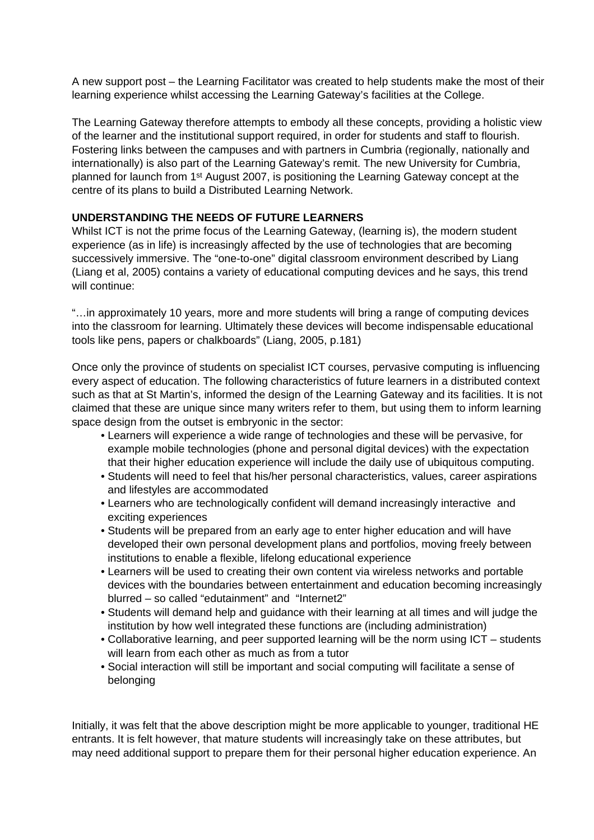A new support post – the Learning Facilitator was created to help students make the most of their learning experience whilst accessing the Learning Gateway's facilities at the College.

The Learning Gateway therefore attempts to embody all these concepts, providing a holistic view of the learner and the institutional support required, in order for students and staff to flourish. Fostering links between the campuses and with partners in Cumbria (regionally, nationally and internationally) is also part of the Learning Gateway's remit. The new University for Cumbria, planned for launch from 1st August 2007, is positioning the Learning Gateway concept at the centre of its plans to build a Distributed Learning Network.

## **UNDERSTANDING THE NEEDS OF FUTURE LEARNERS**

Whilst ICT is not the prime focus of the Learning Gateway, (learning is), the modern student experience (as in life) is increasingly affected by the use of technologies that are becoming successively immersive. The "one-to-one" digital classroom environment described by Liang (Liang et al, 2005) contains a variety of educational computing devices and he says, this trend will continue:

"…in approximately 10 years, more and more students will bring a range of computing devices into the classroom for learning. Ultimately these devices will become indispensable educational tools like pens, papers or chalkboards" (Liang, 2005, p.181)

Once only the province of students on specialist ICT courses, pervasive computing is influencing every aspect of education. The following characteristics of future learners in a distributed context such as that at St Martin's, informed the design of the Learning Gateway and its facilities. It is not claimed that these are unique since many writers refer to them, but using them to inform learning space design from the outset is embryonic in the sector:

- Learners will experience a wide range of technologies and these will be pervasive, for example mobile technologies (phone and personal digital devices) with the expectation that their higher education experience will include the daily use of ubiquitous computing.
- Students will need to feel that his/her personal characteristics, values, career aspirations and lifestyles are accommodated
- Learners who are technologically confident will demand increasingly interactive and exciting experiences
- Students will be prepared from an early age to enter higher education and will have developed their own personal development plans and portfolios, moving freely between institutions to enable a flexible, lifelong educational experience
- Learners will be used to creating their own content via wireless networks and portable devices with the boundaries between entertainment and education becoming increasingly blurred – so called "edutainment" and "Internet2"
- Students will demand help and guidance with their learning at all times and will judge the institution by how well integrated these functions are (including administration)
- Collaborative learning, and peer supported learning will be the norm using ICT students will learn from each other as much as from a tutor
- Social interaction will still be important and social computing will facilitate a sense of belonging

Initially, it was felt that the above description might be more applicable to younger, traditional HE entrants. It is felt however, that mature students will increasingly take on these attributes, but may need additional support to prepare them for their personal higher education experience. An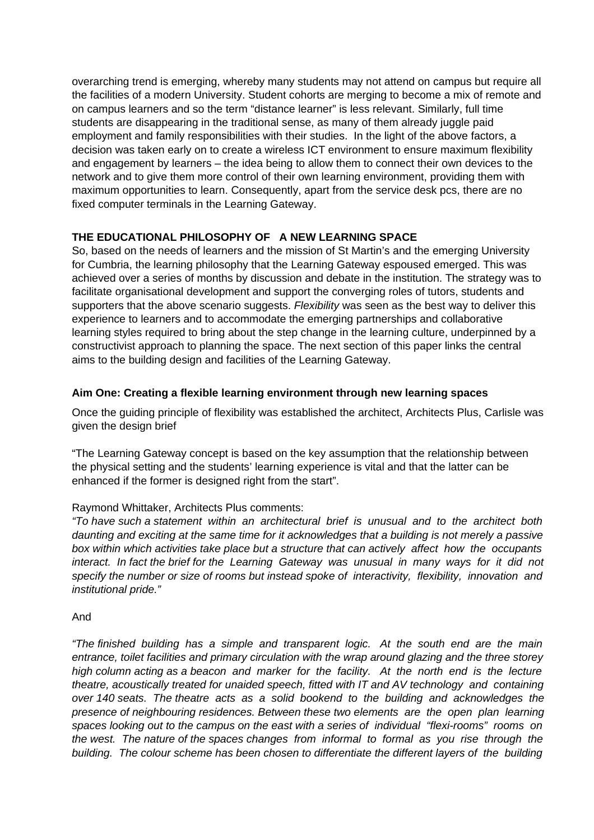overarching trend is emerging, whereby many students may not attend on campus but require all the facilities of a modern University. Student cohorts are merging to become a mix of remote and on campus learners and so the term "distance learner" is less relevant. Similarly, full time students are disappearing in the traditional sense, as many of them already juggle paid employment and family responsibilities with their studies. In the light of the above factors, a decision was taken early on to create a wireless ICT environment to ensure maximum flexibility and engagement by learners – the idea being to allow them to connect their own devices to the network and to give them more control of their own learning environment, providing them with maximum opportunities to learn. Consequently, apart from the service desk pcs, there are no fixed computer terminals in the Learning Gateway.

# **THE EDUCATIONAL PHILOSOPHY OF A NEW LEARNING SPACE**

So, based on the needs of learners and the mission of St Martin's and the emerging University for Cumbria, the learning philosophy that the Learning Gateway espoused emerged. This was achieved over a series of months by discussion and debate in the institution. The strategy was to facilitate organisational development and support the converging roles of tutors, students and supporters that the above scenario suggests. Flexibility was seen as the best way to deliver this experience to learners and to accommodate the emerging partnerships and collaborative learning styles required to bring about the step change in the learning culture, underpinned by a constructivist approach to planning the space. The next section of this paper links the central aims to the building design and facilities of the Learning Gateway.

## **Aim One: Creating a flexible learning environment through new learning spaces**

Once the guiding principle of flexibility was established the architect, Architects Plus, Carlisle was given the design brief

"The Learning Gateway concept is based on the key assumption that the relationship between the physical setting and the students' learning experience is vital and that the latter can be enhanced if the former is designed right from the start".

#### Raymond Whittaker, Architects Plus comments:

"To have such a statement within an architectural brief is unusual and to the architect both daunting and exciting at the same time for it acknowledges that a building is not merely a passive box within which activities take place but a structure that can actively affect how the occupants interact. In fact the brief for the Learning Gateway was unusual in many ways for it did not specify the number or size of rooms but instead spoke of interactivity, flexibility, innovation and institutional pride."

#### And

"The finished building has a simple and transparent logic. At the south end are the main entrance, toilet facilities and primary circulation with the wrap around glazing and the three storey high column acting as a beacon and marker for the facility. At the north end is the lecture theatre, acoustically treated for unaided speech, fitted with IT and AV technology and containing over 140 seats. The theatre acts as a solid bookend to the building and acknowledges the presence of neighbouring residences. Between these two elements are the open plan learning spaces looking out to the campus on the east with a series of individual "flexi-rooms" rooms on the west. The nature of the spaces changes from informal to formal as you rise through the building. The colour scheme has been chosen to differentiate the different layers of the building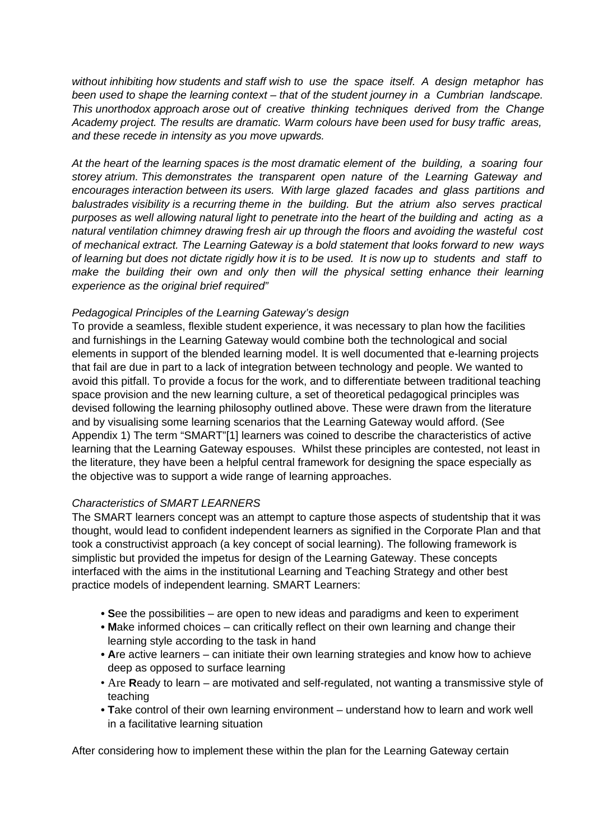without inhibiting how students and staff wish to use the space itself. A design metaphor has been used to shape the learning context – that of the student journey in a Cumbrian landscape. This unorthodox approach arose out of creative thinking techniques derived from the Change Academy project. The results are dramatic. Warm colours have been used for busy traffic areas, and these recede in intensity as you move upwards.

At the heart of the learning spaces is the most dramatic element of the building, a soaring four storey atrium. This demonstrates the transparent open nature of the Learning Gateway and encourages interaction between its users. With large glazed facades and glass partitions and balustrades visibility is a recurring theme in the building. But the atrium also serves practical purposes as well allowing natural light to penetrate into the heart of the building and acting as a natural ventilation chimney drawing fresh air up through the floors and avoiding the wasteful cost of mechanical extract. The Learning Gateway is a bold statement that looks forward to new ways of learning but does not dictate rigidly how it is to be used. It is now up to students and staff to make the building their own and only then will the physical setting enhance their learning experience as the original brief required"

#### Pedagogical Principles of the Learning Gateway's design

To provide a seamless, flexible student experience, it was necessary to plan how the facilities and furnishings in the Learning Gateway would combine both the technological and social elements in support of the blended learning model. It is well documented that e-learning projects that fail are due in part to a lack of integration between technology and people. We wanted to avoid this pitfall. To provide a focus for the work, and to differentiate between traditional teaching space provision and the new learning culture, a set of theoretical pedagogical principles was devised following the learning philosophy outlined above. These were drawn from the literature and by visualising some learning scenarios that the Learning Gateway would afford. (See Appendix 1) The term "SMART"[1] learners was coined to describe the characteristics of active learning that the Learning Gateway espouses. Whilst these principles are contested, not least in the literature, they have been a helpful central framework for designing the space especially as the objective was to support a wide range of learning approaches.

#### Characteristics of SMART LEARNERS

The SMART learners concept was an attempt to capture those aspects of studentship that it was thought, would lead to confident independent learners as signified in the Corporate Plan and that took a constructivist approach (a key concept of social learning). The following framework is simplistic but provided the impetus for design of the Learning Gateway. These concepts interfaced with the aims in the institutional Learning and Teaching Strategy and other best practice models of independent learning. SMART Learners:

- **S**ee the possibilities are open to new ideas and paradigms and keen to experiment
- **M**ake informed choices can critically reflect on their own learning and change their learning style according to the task in hand
- **A**re active learners can initiate their own learning strategies and know how to achieve deep as opposed to surface learning
- Are **R**eady to learn are motivated and self-regulated, not wanting a transmissive style of teaching
- **T**ake control of their own learning environment understand how to learn and work well in a facilitative learning situation

After considering how to implement these within the plan for the Learning Gateway certain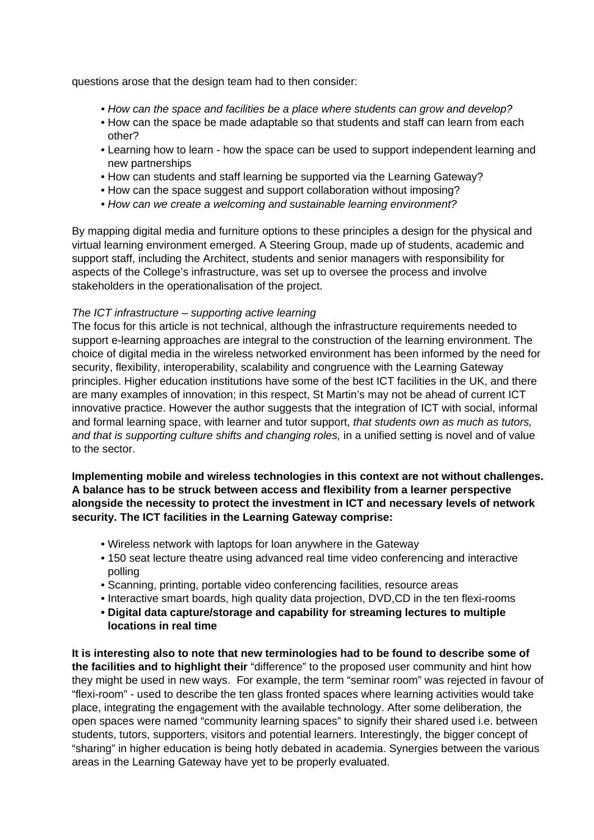questions arose that the design team had to then consider:

- How can the space and facilities be a place where students can grow and develop?
- How can the space be made adaptable so that students and staff can learn from each other?
- Learning how to learn how the space can be used to support independent learning and new partnerships
- How can students and staff learning be supported via the Learning Gateway?
- How can the space suggest and support collaboration without imposing?
- How can we create a welcoming and sustainable learning environment?

By mapping digital media and furniture options to these principles a design for the physical and virtual learning environment emerged. A Steering Group, made up of students, academic and support staff, including the Architect, students and senior managers with responsibility for aspects of the College's infrastructure, was set up to oversee the process and involve stakeholders in the operationalisation of the project.

## The ICT infrastructure – supporting active learning

The focus for this article is not technical, although the infrastructure requirements needed to support e-learning approaches are integral to the construction of the learning environment. The choice of digital media in the wireless networked environment has been informed by the need for security, flexibility, interoperability, scalability and congruence with the Learning Gateway principles. Higher education institutions have some of the best ICT facilities in the UK, and there are many examples of innovation; in this respect, St Martin's may not be ahead of current ICT innovative practice. However the author suggests that the integration of ICT with social, informal and formal learning space, with learner and tutor support, that students own as much as tutors, and that is supporting culture shifts and changing roles, in a unified setting is novel and of value to the sector.

**Implementing mobile and wireless technologies in this context are not without challenges. A balance has to be struck between access and flexibility from a learner perspective alongside the necessity to protect the investment in ICT and necessary levels of network security. The ICT facilities in the Learning Gateway comprise:**

- Wireless network with laptops for loan anywhere in the Gateway
- 150 seat lecture theatre using advanced real time video conferencing and interactive polling
- Scanning, printing, portable video conferencing facilities, resource areas
- Interactive smart boards, high quality data projection, DVD,CD in the ten flexi-rooms
- **Digital data capture/storage and capability for streaming lectures to multiple locations in real time**

**It is interesting also to note that new terminologies had to be found to describe some of the facilities and to highlight their** "difference" to the proposed user community and hint how they might be used in new ways. For example, the term "seminar room" was rejected in favour of "flexi-room" - used to describe the ten glass fronted spaces where learning activities would take place, integrating the engagement with the available technology. After some deliberation, the open spaces were named "community learning spaces" to signify their shared used i.e. between students, tutors, supporters, visitors and potential learners. Interestingly, the bigger concept of "sharing" in higher education is being hotly debated in academia. Synergies between the various areas in the Learning Gateway have yet to be properly evaluated.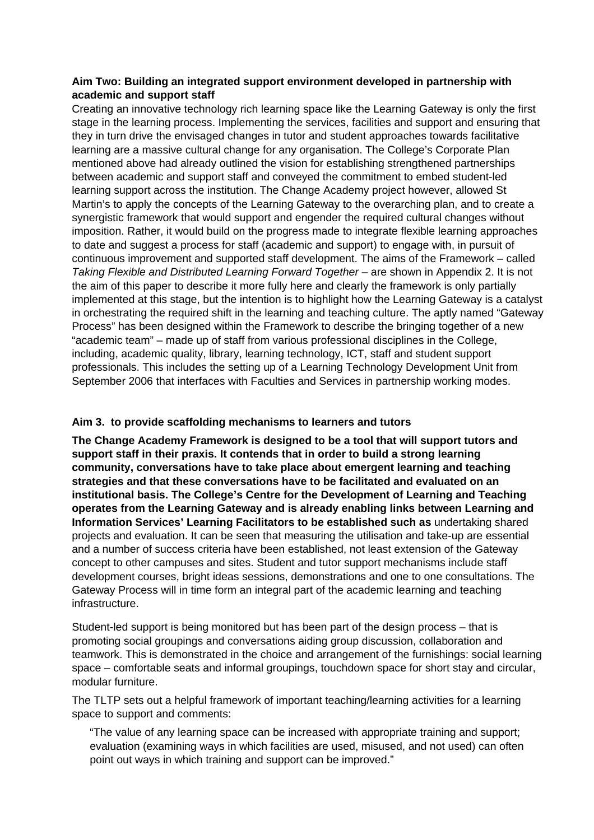## **Aim Two: Building an integrated support environment developed in partnership with academic and support staff**

Creating an innovative technology rich learning space like the Learning Gateway is only the first stage in the learning process. Implementing the services, facilities and support and ensuring that they in turn drive the envisaged changes in tutor and student approaches towards facilitative learning are a massive cultural change for any organisation. The College's Corporate Plan mentioned above had already outlined the vision for establishing strengthened partnerships between academic and support staff and conveyed the commitment to embed student-led learning support across the institution. The Change Academy project however, allowed St Martin's to apply the concepts of the Learning Gateway to the overarching plan, and to create a synergistic framework that would support and engender the required cultural changes without imposition. Rather, it would build on the progress made to integrate flexible learning approaches to date and suggest a process for staff (academic and support) to engage with, in pursuit of continuous improvement and supported staff development. The aims of the Framework – called Taking Flexible and Distributed Learning Forward Together – are shown in Appendix 2. It is not the aim of this paper to describe it more fully here and clearly the framework is only partially implemented at this stage, but the intention is to highlight how the Learning Gateway is a catalyst in orchestrating the required shift in the learning and teaching culture. The aptly named "Gateway Process" has been designed within the Framework to describe the bringing together of a new "academic team" – made up of staff from various professional disciplines in the College, including, academic quality, library, learning technology, ICT, staff and student support professionals. This includes the setting up of a Learning Technology Development Unit from September 2006 that interfaces with Faculties and Services in partnership working modes.

# **Aim 3. to provide scaffolding mechanisms to learners and tutors**

**The Change Academy Framework is designed to be a tool that will support tutors and support staff in their praxis. It contends that in order to build a strong learning community, conversations have to take place about emergent learning and teaching strategies and that these conversations have to be facilitated and evaluated on an institutional basis. The College's Centre for the Development of Learning and Teaching operates from the Learning Gateway and is already enabling links between Learning and Information Services' Learning Facilitators to be established such as** undertaking shared projects and evaluation. It can be seen that measuring the utilisation and take-up are essential and a number of success criteria have been established, not least extension of the Gateway concept to other campuses and sites. Student and tutor support mechanisms include staff development courses, bright ideas sessions, demonstrations and one to one consultations. The Gateway Process will in time form an integral part of the academic learning and teaching infrastructure.

Student-led support is being monitored but has been part of the design process – that is promoting social groupings and conversations aiding group discussion, collaboration and teamwork. This is demonstrated in the choice and arrangement of the furnishings: social learning space – comfortable seats and informal groupings, touchdown space for short stay and circular, modular furniture.

The TLTP sets out a helpful framework of important teaching/learning activities for a learning space to support and comments:

"The value of any learning space can be increased with appropriate training and support; evaluation (examining ways in which facilities are used, misused, and not used) can often point out ways in which training and support can be improved."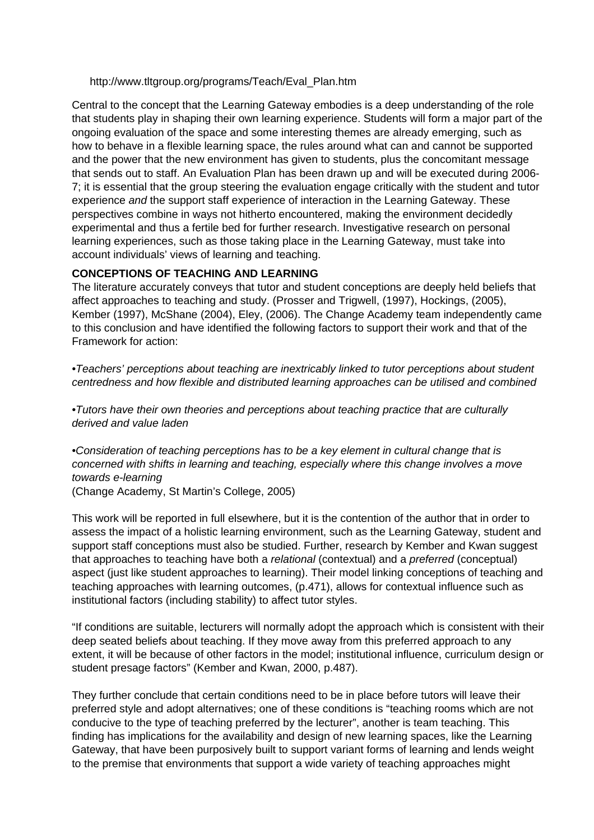http://www.tltgroup.org/programs/Teach/Eval\_Plan.htm

Central to the concept that the Learning Gateway embodies is a deep understanding of the role that students play in shaping their own learning experience. Students will form a major part of the ongoing evaluation of the space and some interesting themes are already emerging, such as how to behave in a flexible learning space, the rules around what can and cannot be supported and the power that the new environment has given to students, plus the concomitant message that sends out to staff. An Evaluation Plan has been drawn up and will be executed during 2006- 7; it is essential that the group steering the evaluation engage critically with the student and tutor experience and the support staff experience of interaction in the Learning Gateway. These perspectives combine in ways not hitherto encountered, making the environment decidedly experimental and thus a fertile bed for further research. Investigative research on personal learning experiences, such as those taking place in the Learning Gateway, must take into account individuals' views of learning and teaching.

# **CONCEPTIONS OF TEACHING AND LEARNING**

The literature accurately conveys that tutor and student conceptions are deeply held beliefs that affect approaches to teaching and study. (Prosser and Trigwell, (1997), Hockings, (2005), Kember (1997), McShane (2004), Eley, (2006). The Change Academy team independently came to this conclusion and have identified the following factors to support their work and that of the Framework for action:

•Teachers' perceptions about teaching are inextricably linked to tutor perceptions about student centredness and how flexible and distributed learning approaches can be utilised and combined

•Tutors have their own theories and perceptions about teaching practice that are culturally derived and value laden

•Consideration of teaching perceptions has to be a key element in cultural change that is concerned with shifts in learning and teaching, especially where this change involves a move towards e-learning (Change Academy, St Martin's College, 2005)

This work will be reported in full elsewhere, but it is the contention of the author that in order to assess the impact of a holistic learning environment, such as the Learning Gateway, student and support staff conceptions must also be studied. Further, research by Kember and Kwan suggest that approaches to teaching have both a relational (contextual) and a preferred (conceptual) aspect (just like student approaches to learning). Their model linking conceptions of teaching and teaching approaches with learning outcomes, (p.471), allows for contextual influence such as institutional factors (including stability) to affect tutor styles.

"If conditions are suitable, lecturers will normally adopt the approach which is consistent with their deep seated beliefs about teaching. If they move away from this preferred approach to any extent, it will be because of other factors in the model; institutional influence, curriculum design or student presage factors" (Kember and Kwan, 2000, p.487).

They further conclude that certain conditions need to be in place before tutors will leave their preferred style and adopt alternatives; one of these conditions is "teaching rooms which are not conducive to the type of teaching preferred by the lecturer", another is team teaching. This finding has implications for the availability and design of new learning spaces, like the Learning Gateway, that have been purposively built to support variant forms of learning and lends weight to the premise that environments that support a wide variety of teaching approaches might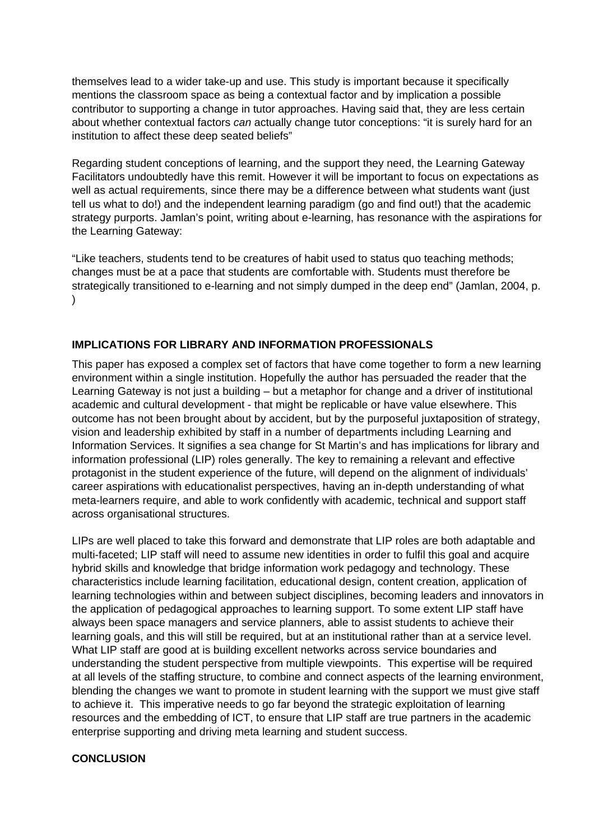themselves lead to a wider take-up and use. This study is important because it specifically mentions the classroom space as being a contextual factor and by implication a possible contributor to supporting a change in tutor approaches. Having said that, they are less certain about whether contextual factors can actually change tutor conceptions: "it is surely hard for an institution to affect these deep seated beliefs"

Regarding student conceptions of learning, and the support they need, the Learning Gateway Facilitators undoubtedly have this remit. However it will be important to focus on expectations as well as actual requirements, since there may be a difference between what students want (just tell us what to do!) and the independent learning paradigm (go and find out!) that the academic strategy purports. Jamlan's point, writing about e-learning, has resonance with the aspirations for the Learning Gateway:

"Like teachers, students tend to be creatures of habit used to status quo teaching methods; changes must be at a pace that students are comfortable with. Students must therefore be strategically transitioned to e-learning and not simply dumped in the deep end" (Jamlan, 2004, p.  $\lambda$ 

# **IMPLICATIONS FOR LIBRARY AND INFORMATION PROFESSIONALS**

This paper has exposed a complex set of factors that have come together to form a new learning environment within a single institution. Hopefully the author has persuaded the reader that the Learning Gateway is not just a building – but a metaphor for change and a driver of institutional academic and cultural development - that might be replicable or have value elsewhere. This outcome has not been brought about by accident, but by the purposeful juxtaposition of strategy, vision and leadership exhibited by staff in a number of departments including Learning and Information Services. It signifies a sea change for St Martin's and has implications for library and information professional (LIP) roles generally. The key to remaining a relevant and effective protagonist in the student experience of the future, will depend on the alignment of individuals' career aspirations with educationalist perspectives, having an in-depth understanding of what meta-learners require, and able to work confidently with academic, technical and support staff across organisational structures.

LIPs are well placed to take this forward and demonstrate that LIP roles are both adaptable and multi-faceted; LIP staff will need to assume new identities in order to fulfil this goal and acquire hybrid skills and knowledge that bridge information work pedagogy and technology. These characteristics include learning facilitation, educational design, content creation, application of learning technologies within and between subject disciplines, becoming leaders and innovators in the application of pedagogical approaches to learning support. To some extent LIP staff have always been space managers and service planners, able to assist students to achieve their learning goals, and this will still be required, but at an institutional rather than at a service level. What LIP staff are good at is building excellent networks across service boundaries and understanding the student perspective from multiple viewpoints. This expertise will be required at all levels of the staffing structure, to combine and connect aspects of the learning environment, blending the changes we want to promote in student learning with the support we must give staff to achieve it. This imperative needs to go far beyond the strategic exploitation of learning resources and the embedding of ICT, to ensure that LIP staff are true partners in the academic enterprise supporting and driving meta learning and student success.

# **CONCLUSION**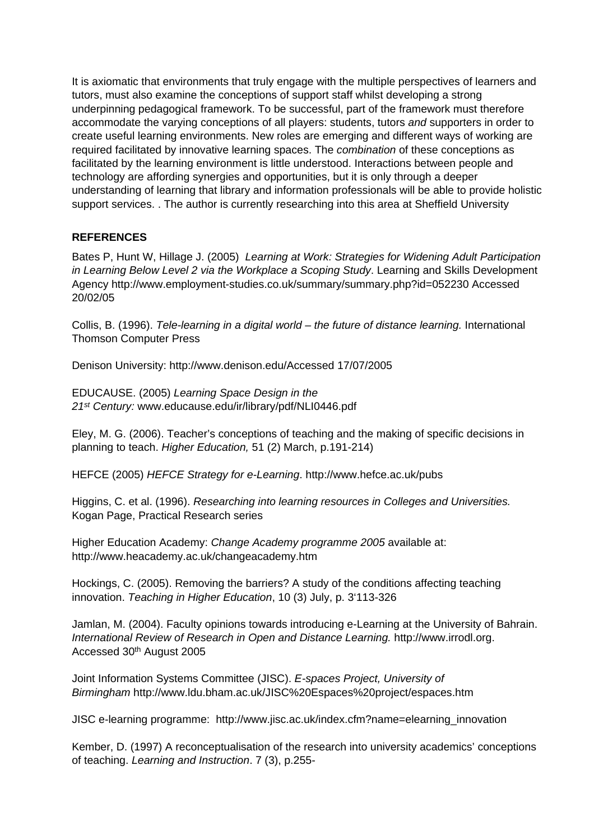It is axiomatic that environments that truly engage with the multiple perspectives of learners and tutors, must also examine the conceptions of support staff whilst developing a strong underpinning pedagogical framework. To be successful, part of the framework must therefore accommodate the varying conceptions of all players: students, tutors and supporters in order to create useful learning environments. New roles are emerging and different ways of working are required facilitated by innovative learning spaces. The combination of these conceptions as facilitated by the learning environment is little understood. Interactions between people and technology are affording synergies and opportunities, but it is only through a deeper understanding of learning that library and information professionals will be able to provide holistic support services. . The author is currently researching into this area at Sheffield University

# **REFERENCES**

Bates P, Hunt W, Hillage J. (2005) Learning at Work: Strategies for Widening Adult Participation in Learning Below Level 2 via the Workplace a Scoping Study. Learning and Skills Development Agency http://www.employment-studies.co.uk/summary/summary.php?id=052230 Accessed 20/02/05

Collis, B. (1996). Tele-learning in a digital world – the future of distance learning. International Thomson Computer Press

Denison University: http://www.denison.edu/Accessed 17/07/2005

EDUCAUSE. (2005) Learning Space Design in the 21st Century: www.educause.edu/ir/library/pdf/NLI0446.pdf

Eley, M. G. (2006). Teacher's conceptions of teaching and the making of specific decisions in planning to teach. Higher Education, 51 (2) March, p.191-214)

HEFCE (2005) HEFCE Strategy for e-Learning. http://www.hefce.ac.uk/pubs

Higgins, C. et al. (1996). Researching into learning resources in Colleges and Universities. Kogan Page, Practical Research series

Higher Education Academy: Change Academy programme 2005 available at: http://www.heacademy.ac.uk/changeacademy.htm

Hockings, C. (2005). Removing the barriers? A study of the conditions affecting teaching innovation. Teaching in Higher Education, 10 (3) July, p. 3'113-326

Jamlan, M. (2004). Faculty opinions towards introducing e-Learning at the University of Bahrain. International Review of Research in Open and Distance Learning. http://www.irrodl.org. Accessed 30th August 2005

Joint Information Systems Committee (JISC). E-spaces Project, University of Birmingham http://www.ldu.bham.ac.uk/JISC%20Espaces%20project/espaces.htm

JISC e-learning programme: http://www.jisc.ac.uk/index.cfm?name=elearning\_innovation

Kember, D. (1997) A reconceptualisation of the research into university academics' conceptions of teaching. Learning and Instruction. 7 (3), p.255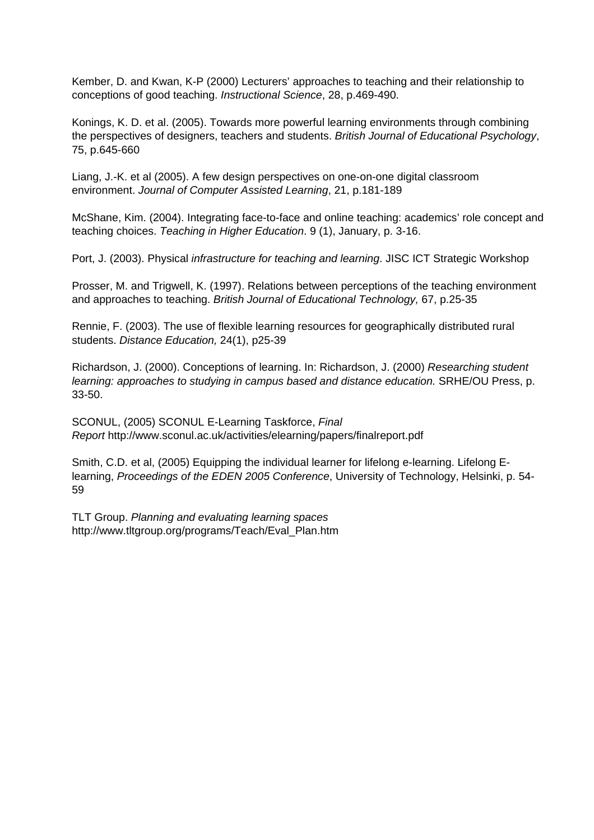Kember, D. and Kwan, K-P (2000) Lecturers' approaches to teaching and their relationship to conceptions of good teaching. Instructional Science, 28, p.469-490.

Konings, K. D. et al. (2005). Towards more powerful learning environments through combining the perspectives of designers, teachers and students. British Journal of Educational Psychology, 75, p.645-660

Liang, J.-K. et al (2005). A few design perspectives on one-on-one digital classroom environment. Journal of Computer Assisted Learning, 21, p.181-189

McShane, Kim. (2004). Integrating face-to-face and online teaching: academics' role concept and teaching choices. Teaching in Higher Education. 9 (1), January, p. 3-16.

Port, J. (2003). Physical infrastructure for teaching and learning. JISC ICT Strategic Workshop

Prosser, M. and Trigwell, K. (1997). Relations between perceptions of the teaching environment and approaches to teaching. British Journal of Educational Technology, 67, p.25-35

Rennie, F. (2003). The use of flexible learning resources for geographically distributed rural students. Distance Education, 24(1), p25-39

Richardson, J. (2000). Conceptions of learning. In: Richardson, J. (2000) Researching student learning: approaches to studying in campus based and distance education. SRHE/OU Press, p. 33-50.

SCONUL, (2005) SCONUL E-Learning Taskforce, Final Report http://www.sconul.ac.uk/activities/elearning/papers/finalreport.pdf

Smith, C.D. et al, (2005) Equipping the individual learner for lifelong e-learning. Lifelong Elearning, Proceedings of the EDEN 2005 Conference, University of Technology, Helsinki, p. 54- 59

TLT Group. Planning and evaluating learning spaces http://www.tltgroup.org/programs/Teach/Eval\_Plan.htm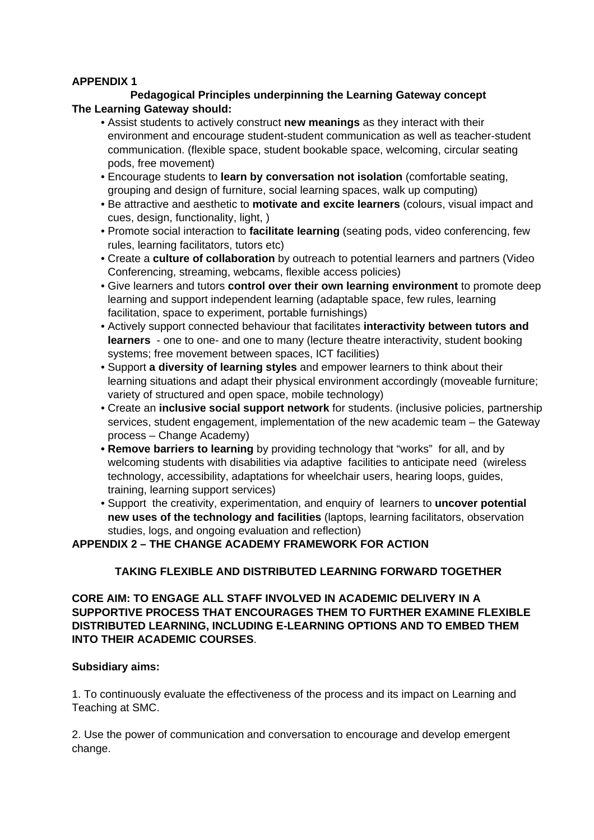# **APPENDIX 1**

## **Pedagogical Principles underpinning the Learning Gateway concept The Learning Gateway should:**

- Assist students to actively construct **new meanings** as they interact with their environment and encourage student-student communication as well as teacher-student communication. (flexible space, student bookable space, welcoming, circular seating pods, free movement)
- Encourage students to **learn by conversation not isolation** (comfortable seating, grouping and design of furniture, social learning spaces, walk up computing)
- Be attractive and aesthetic to **motivate and excite learners** (colours, visual impact and cues, design, functionality, light, )
- Promote social interaction to **facilitate learning** (seating pods, video conferencing, few rules, learning facilitators, tutors etc)
- Create a **culture of collaboration** by outreach to potential learners and partners (Video Conferencing, streaming, webcams, flexible access policies)
- Give learners and tutors **control over their own learning environment** to promote deep learning and support independent learning (adaptable space, few rules, learning facilitation, space to experiment, portable furnishings)
- Actively support connected behaviour that facilitates **interactivity between tutors and learners** - one to one- and one to many (lecture theatre interactivity, student booking systems; free movement between spaces, ICT facilities)
- Support **a diversity of learning styles** and empower learners to think about their learning situations and adapt their physical environment accordingly (moveable furniture; variety of structured and open space, mobile technology)
- Create an **inclusive social support network** for students. (inclusive policies, partnership services, student engagement, implementation of the new academic team – the Gateway process – Change Academy)
- **Remove barriers to learning** by providing technology that "works" for all, and by welcoming students with disabilities via adaptive facilities to anticipate need (wireless technology, accessibility, adaptations for wheelchair users, hearing loops, guides, training, learning support services)
- Support the creativity, experimentation, and enquiry of learners to **uncover potential new uses of the technology and facilities** (laptops, learning facilitators, observation studies, logs, and ongoing evaluation and reflection)

# **APPENDIX 2 – THE CHANGE ACADEMY FRAMEWORK FOR ACTION**

# **TAKING FLEXIBLE AND DISTRIBUTED LEARNING FORWARD TOGETHER**

#### **CORE AIM: TO ENGAGE ALL STAFF INVOLVED IN ACADEMIC DELIVERY IN A SUPPORTIVE PROCESS THAT ENCOURAGES THEM TO FURTHER EXAMINE FLEXIBLE DISTRIBUTED LEARNING, INCLUDING E-LEARNING OPTIONS AND TO EMBED THEM INTO THEIR ACADEMIC COURSES**.

#### **Subsidiary aims:**

1. To continuously evaluate the effectiveness of the process and its impact on Learning and Teaching at SMC.

2. Use the power of communication and conversation to encourage and develop emergent change.